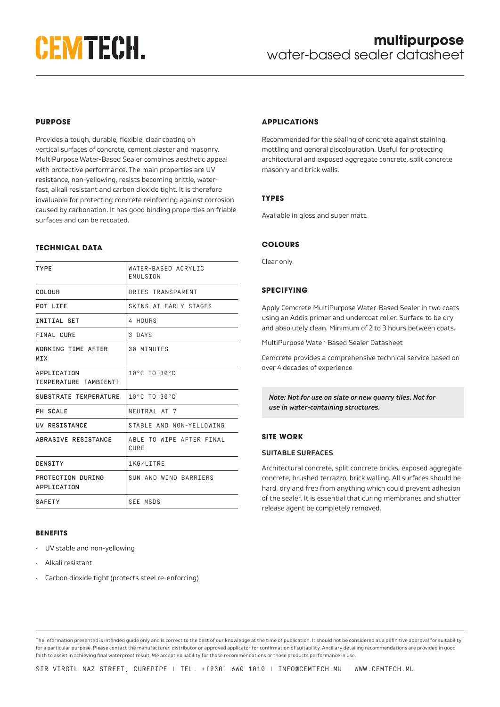# **CEMTECH.**

# **PURPOSE**

Provides a tough, durable, flexible, clear coating on vertical surfaces of concrete, cement plaster and masonry. MultiPurpose Water-Based Sealer combines aesthetic appeal with protective performance. The main properties are UV resistance, non-yellowing, resists becoming brittle, waterfast, alkali resistant and carbon dioxide tight. It is therefore invaluable for protecting concrete reinforcing against corrosion caused by carbonation. It has good binding properties on friable surfaces and can be recoated.

## **TECHNICAL DATA**

| <b>TYPE</b>                          | WATER-BASED ACRYLIC<br>EMULSION  |
|--------------------------------------|----------------------------------|
| COLOUR                               | DRIES TRANSPARENT                |
| POT LIFE                             | SKINS AT EARLY STAGES            |
| <b>INITIAL SET</b>                   | 4 HOURS                          |
| FINAL CURE                           | 3 DAYS                           |
| WORKING TIME AFTER<br><b>MTX</b>     | <b>30 MINUTES</b>                |
| APPLICATION<br>TEMPERATURE [AMBIENT] | 10°C TO 30°C                     |
| SUBSTRATE TEMPERATURE                | 10°C TO 30°C                     |
| PH SCALE                             | NEUTRAL AT 7                     |
| UV RESISTANCE                        | STABLE AND NON-YELLOWING         |
| ABRASIVE RESISTANCE                  | ABLE TO WIPE AFTER FINAL<br>CURE |
| DENSITY                              | 1KG/LITRE                        |
| PROTECTION DURING<br>APPLICATION     | SUN AND WIND BARRIERS            |
| <b>SAFETY</b>                        | <b>SEE MSDS</b>                  |

#### **BENEFITS**

- UV stable and non-yellowing
- Alkali resistant
- Carbon dioxide tight (protects steel re-enforcing)

# **APPLICATIONS**

Recommended for the sealing of concrete against staining, mottling and general discolouration. Useful for protecting architectural and exposed aggregate concrete, split concrete masonry and brick walls.

# **TYPES**

Available in gloss and super matt.

# **COLOURS**

Clear only.

# **SPECIFYING**

Apply Cemcrete MultiPurpose Water-Based Sealer in two coats using an Addis primer and undercoat roller. Surface to be dry and absolutely clean. Minimum of 2 to 3 hours between coats.

MultiPurpose Water-Based Sealer Datasheet

Cemcrete provides a comprehensive technical service based on over 4 decades of experience

*Note: Not for use on slate or new quarry tiles. Not for use in water-containing structures.*

# **SITE WORK**

#### **SUITABLE SURFACES**

Architectural concrete, split concrete bricks, exposed aggregate concrete, brushed terrazzo, brick walling. All surfaces should be hard, dry and free from anything which could prevent adhesion of the sealer. It is essential that curing membranes and shutter release agent be completely removed.

The information presented is intended guide only and is correct to the best of our knowledge at the time of publication. It should not be considered as a definitive approval for suitability for a particular purpose. Please contact the manufacturer, distributor or approved applicator for confirmation of suitability. Ancillary detailing recommendations are provided in good faith to assist in achieving final waterproof result. We accept no liability for those recommendations or those products performance in use.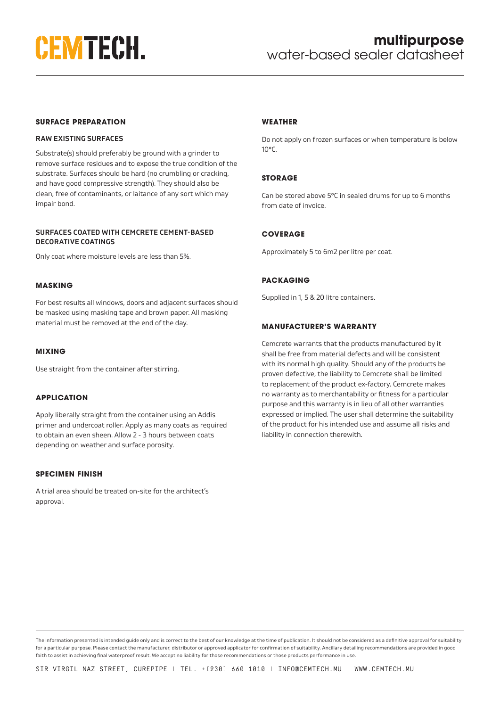

#### **SURFACE PREPARATION**

#### **RAW EXISTING SURFACES**

Substrate(s) should preferably be ground with a grinder to remove surface residues and to expose the true condition of the substrate. Surfaces should be hard (no crumbling or cracking, and have good compressive strength). They should also be clean, free of contaminants, or laitance of any sort which may impair bond.

#### **SURFACES COATED WITH CEMCRETE CEMENT-BASED DECORATIVE COATINGS**

Only coat where moisture levels are less than 5%.

#### **MASKING**

For best results all windows, doors and adjacent surfaces should be masked using masking tape and brown paper. All masking material must be removed at the end of the day.

#### **MIXING**

Use straight from the container after stirring.

#### **APPLICATION**

Apply liberally straight from the container using an Addis primer and undercoat roller. Apply as many coats as required to obtain an even sheen. Allow 2 - 3 hours between coats depending on weather and surface porosity.

# **SPECIMEN FINISH**

A trial area should be treated on-site for the architect's approval.

#### **WEATHER**

Do not apply on frozen surfaces or when temperature is below 10°C.

## **STORAGE**

Can be stored above 5°C in sealed drums for up to 6 months from date of invoice.

# **COVERAGE**

Approximately 5 to 6m2 per litre per coat.

## **PACKAGING**

Supplied in 1, 5 & 20 litre containers.

# **MANUFACTURER'S WARRANTY**

Cemcrete warrants that the products manufactured by it shall be free from material defects and will be consistent with its normal high quality. Should any of the products be proven defective, the liability to Cemcrete shall be limited to replacement of the product ex-factory. Cemcrete makes no warranty as to merchantability or fitness for a particular purpose and this warranty is in lieu of all other warranties expressed or implied. The user shall determine the suitability of the product for his intended use and assume all risks and liability in connection therewith.

The information presented is intended guide only and is correct to the best of our knowledge at the time of publication. It should not be considered as a definitive approval for suitability for a particular purpose. Please contact the manufacturer, distributor or approved applicator for confirmation of suitability. Ancillary detailing recommendations are provided in good faith to assist in achieving final waterproof result. We accept no liability for those recommendations or those products performance in use.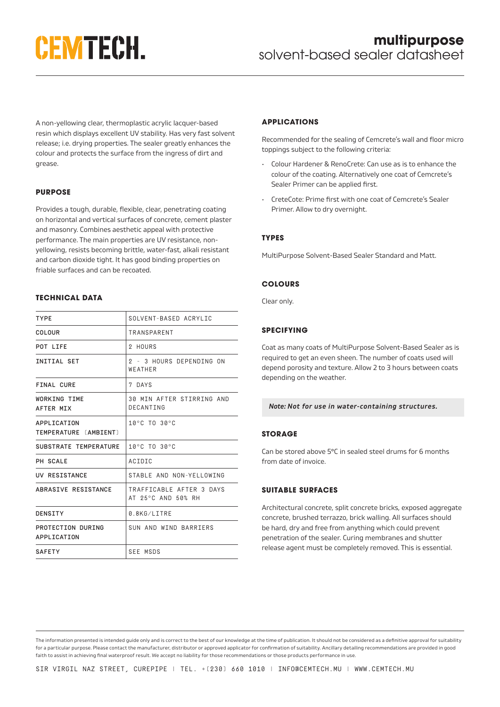# **CEMTECH.**

A non-yellowing clear, thermoplastic acrylic lacquer-based resin which displays excellent UV stability. Has very fast solvent release; i.e. drying properties. The sealer greatly enhances the colour and protects the surface from the ingress of dirt and grease.

# **PURPOSE**

Provides a tough, durable, flexible, clear, penetrating coating on horizontal and vertical surfaces of concrete, cement plaster and masonry. Combines aesthetic appeal with protective performance. The main properties are UV resistance, nonyellowing, resists becoming brittle, water-fast, alkali resistant and carbon dioxide tight. It has good binding properties on friable surfaces and can be recoated.

## **TECHNICAL DATA**

| <b>TYPE</b>                          | SOLVENT-BASED ACRYLIC                          |
|--------------------------------------|------------------------------------------------|
| COLOUR                               | TRANSPARENT                                    |
| POT LIFE                             | 2 HOURS                                        |
| <b>INITIAL SET</b>                   | 2 - 3 HOURS DEPENDING ON<br>WEATHER            |
| FINAL CURE                           | 7 DAYS                                         |
| <b>WORKING TIME</b><br>AFTER MIX     | 30 MIN AFTER STIRRING AND<br>DECANTING         |
| APPLICATION<br>TEMPERATURE [AMBIENT] | 10°C TO 30°C                                   |
| SUBSTRATE TEMPERATURE                | 10°C TO 30°C                                   |
| PH SCALE                             | ACIDIC                                         |
| UV RESISTANCE                        | STARLE AND NON-YELLOWING                       |
| ABRASIVE RESISTANCE                  | TRAFFICABLE AFTER 3 DAYS<br>AT 25°C AND 50% RH |
| DENSITY                              | 0.8KG/LITRE                                    |
| PROTECTION DURING<br>APPLICATION     | SUN AND WIND BARRIERS                          |
| <b>SAFETY</b>                        | <b>SEE MSDS</b>                                |

## **APPLICATIONS**

Recommended for the sealing of Cemcrete's wall and floor micro toppings subject to the following criteria:

- Colour Hardener & RenoCrete: Can use as is to enhance the colour of the coating. Alternatively one coat of Cemcrete's Sealer Primer can be applied first.
- CreteCote: Prime first with one coat of Cemcrete's Sealer Primer. Allow to dry overnight.

#### **TYPES**

MultiPurpose Solvent-Based Sealer Standard and Matt.

## **COLOURS**

Clear only.

# **SPECIFYING**

Coat as many coats of MultiPurpose Solvent-Based Sealer as is required to get an even sheen. The number of coats used will depend porosity and texture. Allow 2 to 3 hours between coats depending on the weather.

#### *Note: Not for use in water-containing structures.*

# **STORAGE**

Can be stored above 5°C in sealed steel drums for 6 months from date of invoice.

# **SUITABLE SURFACES**

Architectural concrete, split concrete bricks, exposed aggregate concrete, brushed terrazzo, brick walling. All surfaces should be hard, dry and free from anything which could prevent penetration of the sealer. Curing membranes and shutter release agent must be completely removed. This is essential.

The information presented is intended guide only and is correct to the best of our knowledge at the time of publication. It should not be considered as a definitive approval for suitability for a particular purpose. Please contact the manufacturer, distributor or approved applicator for confirmation of suitability. Ancillary detailing recommendations are provided in good faith to assist in achieving final waterproof result. We accept no liability for those recommendations or those products performance in use.